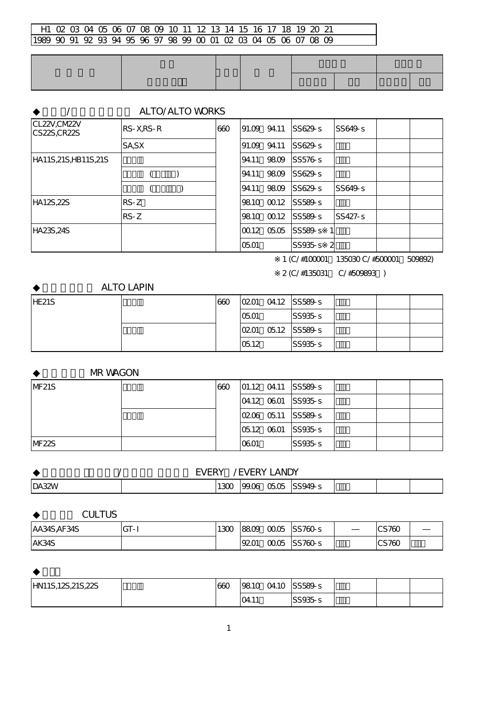## H1 02 03 04 05 06 07 08 09 10 11 12 13 14 15 16 17 18 19 20 21 1989 90 91 92 93 94 95 96 97 98 99 00 01 02 03 04 05 06 07 08 09

|                              |             | <b>ALTO/ALTO WORKS</b> |     |       |              |                   |                |  |
|------------------------------|-------------|------------------------|-----|-------|--------------|-------------------|----------------|--|
| CL22V, CM22V<br>CS22S, CR22S | $RS-X,RS-R$ |                        | 660 |       | 91.09 94.11  | SS629s            | SS649s         |  |
|                              | SA, SX      |                        |     | 91.09 | 94.11        | SS629s            |                |  |
| HA11S, 21S, HB11S, 21S       |             |                        |     | 94.11 | 9809         | SS576s            |                |  |
|                              |             |                        |     | 94.11 | 9809         | $SS629 - S$       |                |  |
|                              |             |                        |     | 94.11 | 9809         | $SS629 - S$       | SS649s         |  |
| HA12S,22S                    | $RS-Z$      |                        |     |       | 9810 0012    | SS589-S           |                |  |
|                              | $RS-Z$      |                        |     |       |              | 9810 0012 SS589-S | <b>SS427-S</b> |  |
| HA23S,24S                    |             |                        |     |       | 100.12 05.05 | SS589s            |                |  |
|                              |             |                        |     | 0501  |              | SS935s<br>-2      |                |  |

※1 (C/#100001~135030 C/#500001~509892)

※2 (C/#135031~ C/#509893~)

## **ALTO LAPIN**

| HE21S | 660 | 0201 04.12 SS589-s            |        |  |
|-------|-----|-------------------------------|--------|--|
|       |     | <b>O5O1</b>                   | SS935s |  |
|       |     | $ 0201 \t 0512 \t  SS589 - S$ |        |  |
|       |     | 0512                          | SS935s |  |

**MR WAGON** 

| NF21S | 660 |      | $ 01.12 \t04.11 $ SS589-s       |  |  |
|-------|-----|------|---------------------------------|--|--|
|       |     |      | $ 04.12 \t{6}001 \t{5}5935 - s$ |  |  |
|       |     |      | 0206 05.11 SS589-S              |  |  |
|       |     |      | $ 0512 \t0601 \t $ SS935-s      |  |  |
| NF22S |     | 0601 | SS935s                          |  |  |

|              | <b>FVFRY</b> |      | <b>VERY</b> | <b>ANDY</b> |        |  |  |
|--------------|--------------|------|-------------|-------------|--------|--|--|
| <b>DA32W</b> |              | 130C | 99.06       | 0505        | S949-S |  |  |

| CULTUS       |        |     |      |               |       |  |
|--------------|--------|-----|------|---------------|-------|--|
| AA34S, AF34S | $GT-I$ | 12ന | 8809 | 00.05 SS760-S | CS760 |  |
| AK34S        |        |     | 9201 | 0005 SS760-s  | CS760 |  |

| HN11S,12S,21S,22S | 660 | 9810  | 04.10 | SS589s  |  |  |
|-------------------|-----|-------|-------|---------|--|--|
|                   |     | 04.1' |       | SS935-s |  |  |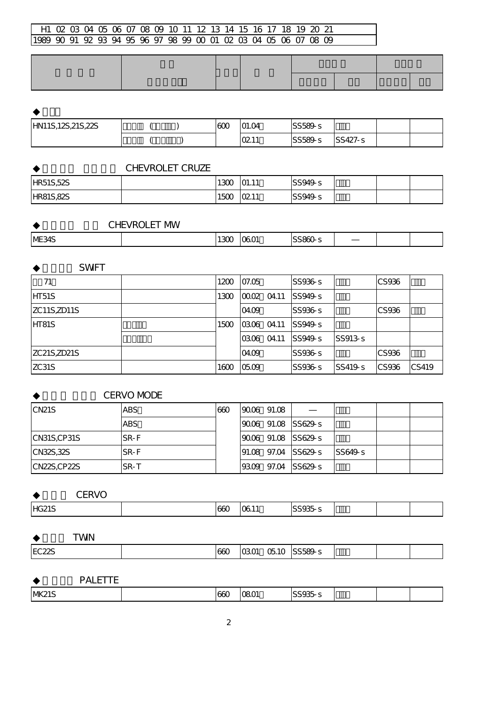# H1 02 03 04 05 06 07 08 09 10 11 12 13 14 15 16 17 18 19 20 21 1989 90 91 92 93 94 95 96 97 98 99 00 01 02 03 04 05 06 07 08 09

| HN11S,12S,21S,22S |  | 600 | 01.04       | $\frac{8}{589}$ s |                |  |
|-------------------|--|-----|-------------|-------------------|----------------|--|
|                   |  |     | $\Omega$ 11 | SS589-s           | <b>SS427-s</b> |  |

### CHEVROLET CRUZE

| <b>HR51S,52S</b> | 120r<br>بتعد | O1.11 | SS949.5 |  |  |
|------------------|--------------|-------|---------|--|--|
| HRS, 82S         | 150C         | 0211  | SS949-s |  |  |

# CHEVROLET MW

| ME34S<br>ccozo<br>$\sim$ $\sim$<br>$\sim$<br>ωu |  |  |  |  |  |  |  |  |  |
|-------------------------------------------------|--|--|--|--|--|--|--|--|--|
|-------------------------------------------------|--|--|--|--|--|--|--|--|--|

#### **SWFT**

| 71                  | 1200 | 07.05                  | SS936-s |         | CS936        |       |
|---------------------|------|------------------------|---------|---------|--------------|-------|
| HT51S               | 1300 | <u> 0002 </u><br>04.11 | SS949s  |         |              |       |
| <b>ZC11S, ZD11S</b> |      | 04.09                  | SS936s  |         | CS936        |       |
| HT81S               | 1500 | 0306 04.11             | SS949s  |         |              |       |
|                     |      | O4.11<br><b>0306</b>   | SS949s  | SS913s  |              |       |
| ZC21S,ZD21S         |      | 04.09                  | SS936-s |         | CS936        |       |
| ZC31S               | 1600 | 05.09                  | SS936-s | SS419-s | <b>CS936</b> | CS419 |

#### CERVO MODE

| ICN <sub>21</sub> S                    | ABS        | 660 | 19006 91.08 |                      |        |  |
|----------------------------------------|------------|-----|-------------|----------------------|--------|--|
|                                        | <b>ABS</b> |     |             | 9006 91.08 SS629-S   |        |  |
| CN31S,CP31S                            | SR-F       |     |             | 9006 91.08 SS629-S   |        |  |
| $\textsf{CN}32\textsf{S},32\textsf{S}$ | SR-F       |     |             | 191.08 97.04 SS629-S | SS649s |  |
| CN22S,CP22S                            | SR-T       |     |             | 9309 97.04 SS629-S   |        |  |

| $\sim$ $\sim$ $\sim$<br>$\sim$ |     |                               |                                |  |  |
|--------------------------------|-----|-------------------------------|--------------------------------|--|--|
| HG21S                          | 66C | $\overline{a}$<br>$\sim$<br>ື | $\sim$ $\sim$ $\sim$<br>~<br>ູ |  |  |

| WN |
|----|
|    |

|  | EC <sub>22S</sub> |  | 660 | 0301 | 0510 | SS589-s |  |  |  |
|--|-------------------|--|-----|------|------|---------|--|--|--|
|--|-------------------|--|-----|------|------|---------|--|--|--|

**PALETTE** 

| $3000 -$<br><b>MK21S</b><br>660<br>$\sim$<br>טב<br>. .<br> |
|------------------------------------------------------------|
|------------------------------------------------------------|